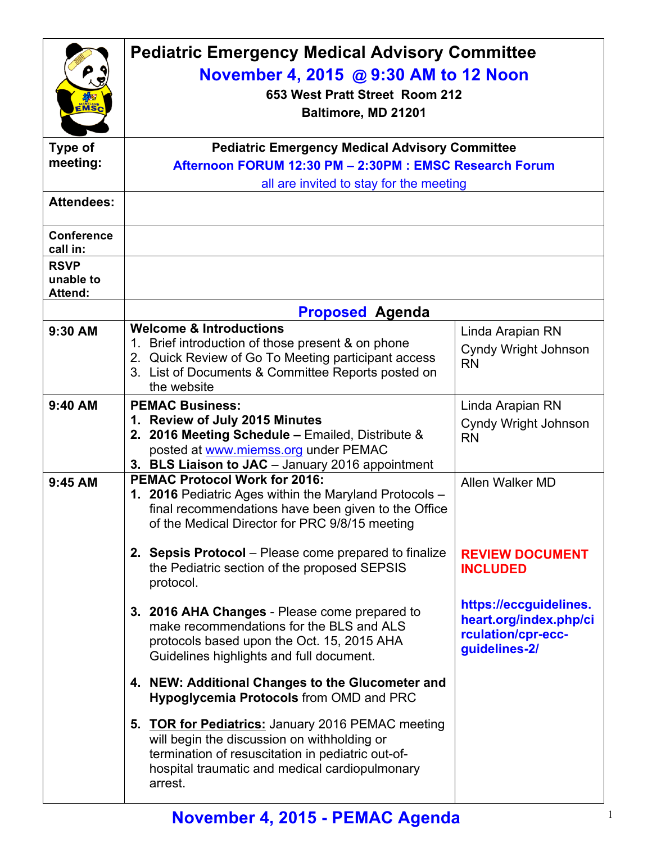| EMSC                                       | <b>Pediatric Emergency Medical Advisory Committee</b><br>November 4, 2015 @ 9:30 AM to 12 Noon<br>653 West Pratt Street Room 212<br>Baltimore, MD 21201                                                             |                                                                                         |  |
|--------------------------------------------|---------------------------------------------------------------------------------------------------------------------------------------------------------------------------------------------------------------------|-----------------------------------------------------------------------------------------|--|
| Type of                                    | <b>Pediatric Emergency Medical Advisory Committee</b>                                                                                                                                                               |                                                                                         |  |
| meeting:                                   | Afternoon FORUM 12:30 PM - 2:30PM : EMSC Research Forum                                                                                                                                                             |                                                                                         |  |
|                                            | all are invited to stay for the meeting                                                                                                                                                                             |                                                                                         |  |
| <b>Attendees:</b>                          |                                                                                                                                                                                                                     |                                                                                         |  |
| <b>Conference</b><br>call in:              |                                                                                                                                                                                                                     |                                                                                         |  |
| <b>RSVP</b><br>unable to<br><b>Attend:</b> |                                                                                                                                                                                                                     |                                                                                         |  |
|                                            | <b>Proposed Agenda</b>                                                                                                                                                                                              |                                                                                         |  |
| 9:30 AM                                    | <b>Welcome &amp; Introductions</b><br>1. Brief introduction of those present & on phone<br>2. Quick Review of Go To Meeting participant access<br>3. List of Documents & Committee Reports posted on<br>the website | Linda Arapian RN<br>Cyndy Wright Johnson<br><b>RN</b>                                   |  |
| 9:40 AM                                    | <b>PEMAC Business:</b><br>1. Review of July 2015 Minutes<br>2. 2016 Meeting Schedule - Emailed, Distribute &<br>posted at www.miemss.org under PEMAC<br>3. BLS Liaison to JAC - January 2016 appointment            | Linda Arapian RN<br><b>Cyndy Wright Johnson</b><br><b>RN</b>                            |  |
| 9:45 AM                                    | <b>PEMAC Protocol Work for 2016:</b><br>1. 2016 Pediatric Ages within the Maryland Protocols -<br>final recommendations have been given to the Office<br>of the Medical Director for PRC 9/8/15 meeting             | Allen Walker MD                                                                         |  |
|                                            | 2. Sepsis Protocol – Please come prepared to finalize<br>the Pediatric section of the proposed SEPSIS<br>protocol.                                                                                                  | <b>REVIEW DOCUMENT</b><br><b>INCLUDED</b>                                               |  |
|                                            | 3. 2016 AHA Changes - Please come prepared to<br>make recommendations for the BLS and ALS<br>protocols based upon the Oct. 15, 2015 AHA<br>Guidelines highlights and full document.                                 | https://eccguidelines.<br>heart.org/index.php/ci<br>rculation/cpr-ecc-<br>guidelines-2/ |  |
|                                            | 4. NEW: Additional Changes to the Glucometer and<br><b>Hypoglycemia Protocols from OMD and PRC</b>                                                                                                                  |                                                                                         |  |
|                                            | 5. TOR for Pediatrics: January 2016 PEMAC meeting<br>will begin the discussion on withholding or<br>termination of resuscitation in pediatric out-of-<br>hospital traumatic and medical cardiopulmonary<br>arrest.  |                                                                                         |  |

## **November 4, 2015 - PEMAC Agenda** <sup>1</sup>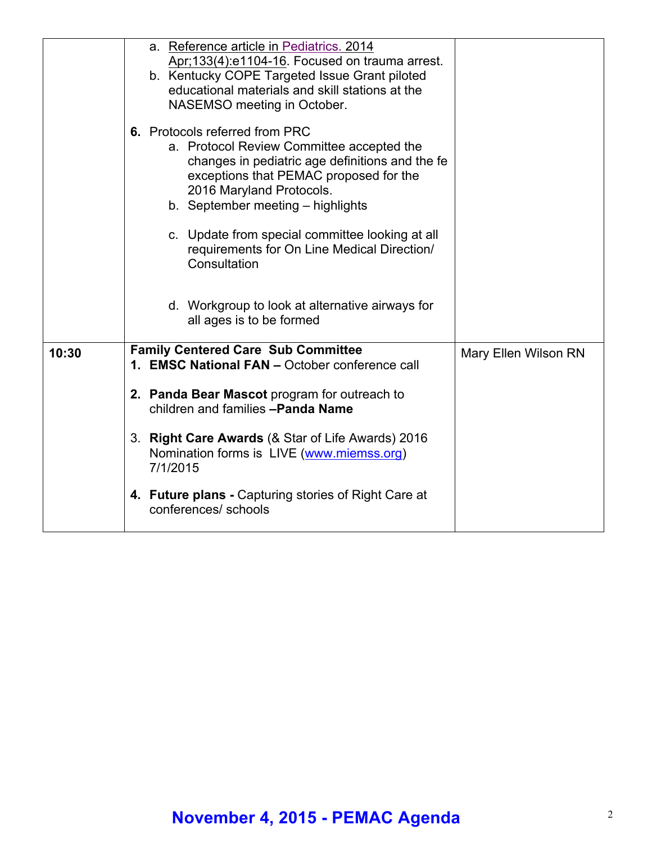|       | a. Reference article in Pediatrics. 2014<br>Apr; 133(4): e1104-16. Focused on trauma arrest.<br>b. Kentucky COPE Targeted Issue Grant piloted<br>educational materials and skill stations at the<br>NASEMSO meeting in October.           |                      |
|-------|-------------------------------------------------------------------------------------------------------------------------------------------------------------------------------------------------------------------------------------------|----------------------|
|       | 6. Protocols referred from PRC<br>a. Protocol Review Committee accepted the<br>changes in pediatric age definitions and the fe<br>exceptions that PEMAC proposed for the<br>2016 Maryland Protocols.<br>b. September meeting - highlights |                      |
|       | c. Update from special committee looking at all<br>requirements for On Line Medical Direction/<br>Consultation                                                                                                                            |                      |
|       | d. Workgroup to look at alternative airways for<br>all ages is to be formed                                                                                                                                                               |                      |
| 10:30 | <b>Family Centered Care Sub Committee</b><br>1. EMSC National FAN - October conference call                                                                                                                                               | Mary Ellen Wilson RN |
|       | 2. Panda Bear Mascot program for outreach to<br>children and families -Panda Name                                                                                                                                                         |                      |
|       | 3. Right Care Awards (& Star of Life Awards) 2016<br>Nomination forms is LIVE (www.miemss.org)<br>7/1/2015                                                                                                                                |                      |
|       | 4. Future plans - Capturing stories of Right Care at<br>conferences/ schools                                                                                                                                                              |                      |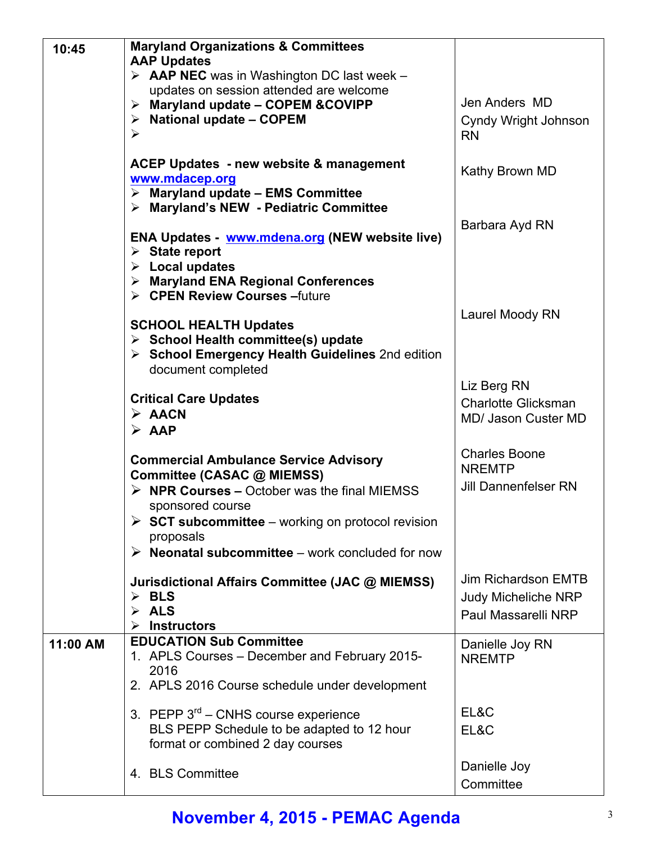| 10:45    | <b>Maryland Organizations &amp; Committees</b>                                                                        |                             |
|----------|-----------------------------------------------------------------------------------------------------------------------|-----------------------------|
|          | <b>AAP Updates</b>                                                                                                    |                             |
|          | $\triangleright$ AAP NEC was in Washington DC last week -                                                             |                             |
|          | updates on session attended are welcome<br>$\triangleright$ Maryland update - COPEM & COVIPP                          | Jen Anders MD               |
|          | $\triangleright$ National update - COPEM                                                                              | Cyndy Wright Johnson        |
|          | $\blacktriangleright$                                                                                                 | <b>RN</b>                   |
|          |                                                                                                                       |                             |
|          | <b>ACEP Updates - new website &amp; management</b>                                                                    | Kathy Brown MD              |
|          | www.mdacep.org                                                                                                        |                             |
|          | $\triangleright$ Maryland update - EMS Committee                                                                      |                             |
|          | > Maryland's NEW - Pediatric Committee                                                                                |                             |
|          | ENA Updates - www.mdena.org (NEW website live)                                                                        | Barbara Ayd RN              |
|          | $\triangleright$ State report                                                                                         |                             |
|          | $\triangleright$ Local updates                                                                                        |                             |
|          | > Maryland ENA Regional Conferences                                                                                   |                             |
|          | > CPEN Review Courses - future                                                                                        |                             |
|          |                                                                                                                       | Laurel Moody RN             |
|          | <b>SCHOOL HEALTH Updates</b>                                                                                          |                             |
|          | $\triangleright$ School Health committee(s) update<br>$\triangleright$ School Emergency Health Guidelines 2nd edition |                             |
|          | document completed                                                                                                    |                             |
|          |                                                                                                                       | Liz Berg RN                 |
|          | <b>Critical Care Updates</b>                                                                                          | <b>Charlotte Glicksman</b>  |
|          | $\triangleright$ AACN                                                                                                 | <b>MD/ Jason Custer MD</b>  |
|          | $\triangleright$ AAP                                                                                                  |                             |
|          |                                                                                                                       | <b>Charles Boone</b>        |
|          | <b>Commercial Ambulance Service Advisory</b><br>Committee (CASAC @ MIEMSS)                                            | <b>NREMTP</b>               |
|          | $\triangleright$ NPR Courses – October was the final MIEMSS                                                           | <b>Jill Dannenfelser RN</b> |
|          | sponsored course                                                                                                      |                             |
|          | $\triangleright$ SCT subcommittee – working on protocol revision                                                      |                             |
|          | proposals                                                                                                             |                             |
|          | $\triangleright$ Neonatal subcommittee – work concluded for now                                                       |                             |
|          |                                                                                                                       | <b>Jim Richardson EMTB</b>  |
|          | Jurisdictional Affairs Committee (JAC @ MIEMSS)<br>$\triangleright$ BLS                                               | <b>Judy Micheliche NRP</b>  |
|          | $\triangleright$ ALS                                                                                                  |                             |
|          | <b>Instructors</b><br>➤                                                                                               | Paul Massarelli NRP         |
| 11:00 AM | <b>EDUCATION Sub Committee</b>                                                                                        | Danielle Joy RN             |
|          | 1. APLS Courses - December and February 2015-                                                                         | <b>NREMTP</b>               |
|          | 2016                                                                                                                  |                             |
|          | 2. APLS 2016 Course schedule under development                                                                        |                             |
|          | 3. PEPP $3^{rd}$ – CNHS course experience                                                                             | EL&C                        |
|          | BLS PEPP Schedule to be adapted to 12 hour                                                                            | EL&C                        |
|          | format or combined 2 day courses                                                                                      |                             |
|          |                                                                                                                       | Danielle Joy                |
|          | 4. BLS Committee                                                                                                      | Committee                   |
|          |                                                                                                                       |                             |

## **November 4, 2015 - PEMAC Agenda** <sup>3</sup>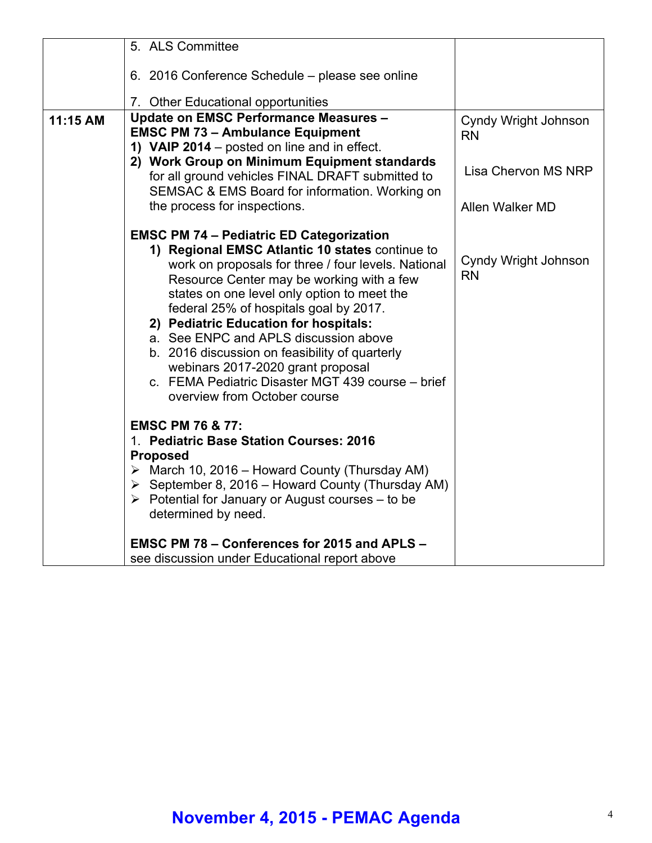|          | 5. ALS Committee                                                                                                                                                                                                                                                                                                                                                                                                                                                                                                                                              |                                          |
|----------|---------------------------------------------------------------------------------------------------------------------------------------------------------------------------------------------------------------------------------------------------------------------------------------------------------------------------------------------------------------------------------------------------------------------------------------------------------------------------------------------------------------------------------------------------------------|------------------------------------------|
|          | 6. 2016 Conference Schedule – please see online                                                                                                                                                                                                                                                                                                                                                                                                                                                                                                               |                                          |
|          | 7. Other Educational opportunities                                                                                                                                                                                                                                                                                                                                                                                                                                                                                                                            |                                          |
| 11:15 AM | <b>Update on EMSC Performance Measures -</b><br><b>EMSC PM 73 - Ambulance Equipment</b><br>1) VAIP 2014 – posted on line and in effect.                                                                                                                                                                                                                                                                                                                                                                                                                       | <b>Cyndy Wright Johnson</b><br><b>RN</b> |
|          | 2) Work Group on Minimum Equipment standards<br>for all ground vehicles FINAL DRAFT submitted to<br>SEMSAC & EMS Board for information. Working on                                                                                                                                                                                                                                                                                                                                                                                                            | Lisa Chervon MS NRP                      |
|          | the process for inspections.                                                                                                                                                                                                                                                                                                                                                                                                                                                                                                                                  | Allen Walker MD                          |
|          | <b>EMSC PM 74 - Pediatric ED Categorization</b><br>1) Regional EMSC Atlantic 10 states continue to<br>work on proposals for three / four levels. National<br>Resource Center may be working with a few<br>states on one level only option to meet the<br>federal 25% of hospitals goal by 2017.<br>2) Pediatric Education for hospitals:<br>a. See ENPC and APLS discussion above<br>b. 2016 discussion on feasibility of quarterly<br>webinars 2017-2020 grant proposal<br>c. FEMA Pediatric Disaster MGT 439 course - brief<br>overview from October course | Cyndy Wright Johnson<br><b>RN</b>        |
|          | <b>EMSC PM 76 &amp; 77:</b><br>1. Pediatric Base Station Courses: 2016<br><b>Proposed</b><br>$\triangleright$ March 10, 2016 – Howard County (Thursday AM)                                                                                                                                                                                                                                                                                                                                                                                                    |                                          |
|          | $\triangleright$ September 8, 2016 – Howard County (Thursday AM)<br>$\triangleright$ Potential for January or August courses – to be<br>determined by need.                                                                                                                                                                                                                                                                                                                                                                                                   |                                          |
|          | EMSC PM 78 - Conferences for 2015 and APLS -<br>see discussion under Educational report above                                                                                                                                                                                                                                                                                                                                                                                                                                                                 |                                          |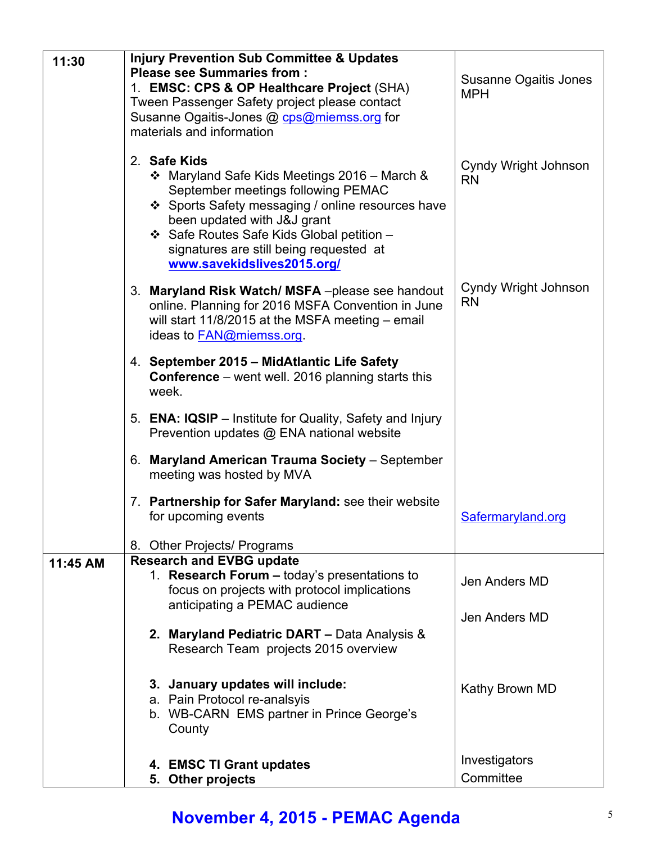| 11:30    | <b>Injury Prevention Sub Committee &amp; Updates</b><br><b>Please see Summaries from:</b>                                                                                                                                                                                                    | Susanne Ogaitis Jones             |
|----------|----------------------------------------------------------------------------------------------------------------------------------------------------------------------------------------------------------------------------------------------------------------------------------------------|-----------------------------------|
|          | 1. EMSC: CPS & OP Healthcare Project (SHA)<br>Tween Passenger Safety project please contact                                                                                                                                                                                                  | <b>MPH</b>                        |
|          | Susanne Ogaitis-Jones @ cps@miemss.org for<br>materials and information                                                                                                                                                                                                                      |                                   |
|          | 2. Safe Kids                                                                                                                                                                                                                                                                                 |                                   |
|          | ❖ Maryland Safe Kids Meetings 2016 – March &<br>September meetings following PEMAC<br>❖ Sports Safety messaging / online resources have<br>been updated with J&J grant<br>❖ Safe Routes Safe Kids Global petition -<br>signatures are still being requested at<br>www.savekidslives2015.org/ | Cyndy Wright Johnson<br><b>RN</b> |
|          | 3. Maryland Risk Watch/MSFA-please see handout<br>online. Planning for 2016 MSFA Convention in June<br>will start 11/8/2015 at the MSFA meeting - email<br>ideas to FAN@miemss.org.                                                                                                          | Cyndy Wright Johnson<br><b>RN</b> |
|          | 4. September 2015 – MidAtlantic Life Safety<br><b>Conference</b> – went well. 2016 planning starts this<br>week.                                                                                                                                                                             |                                   |
|          | 5. ENA: IQSIP – Institute for Quality, Safety and Injury<br>Prevention updates @ ENA national website                                                                                                                                                                                        |                                   |
|          | 6. Maryland American Trauma Society - September<br>meeting was hosted by MVA                                                                                                                                                                                                                 |                                   |
|          | 7. Partnership for Safer Maryland: see their website<br>for upcoming events                                                                                                                                                                                                                  | Safermaryland.org                 |
|          | 8. Other Projects/ Programs                                                                                                                                                                                                                                                                  |                                   |
| 11:45 AM | <b>Research and EVBG update</b><br>1. Research Forum - today's presentations to<br>focus on projects with protocol implications<br>anticipating a PEMAC audience                                                                                                                             | Jen Anders MD                     |
|          |                                                                                                                                                                                                                                                                                              | Jen Anders MD                     |
|          | 2. Maryland Pediatric DART - Data Analysis &<br>Research Team projects 2015 overview                                                                                                                                                                                                         |                                   |
|          | 3. January updates will include:                                                                                                                                                                                                                                                             | Kathy Brown MD                    |
|          | a. Pain Protocol re-analsyis<br>b. WB-CARN EMS partner in Prince George's<br>County                                                                                                                                                                                                          |                                   |
|          | 4. EMSC TI Grant updates                                                                                                                                                                                                                                                                     | Investigators                     |
|          | 5. Other projects                                                                                                                                                                                                                                                                            | Committee                         |

## **November 4, 2015 - PEMAC Agenda** <sup>5</sup>